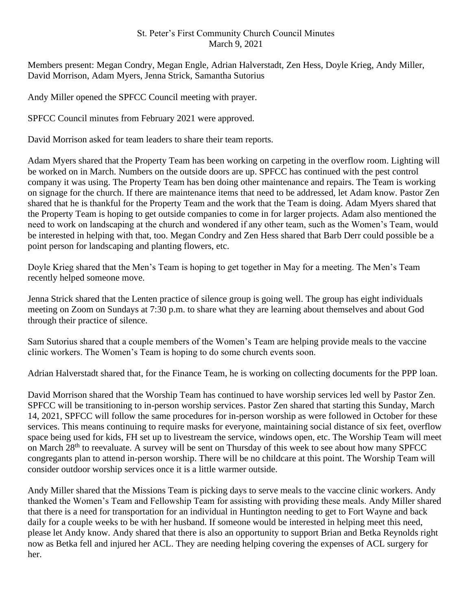## St. Peter's First Community Church Council Minutes March 9, 2021

Members present: Megan Condry, Megan Engle, Adrian Halverstadt, Zen Hess, Doyle Krieg, Andy Miller, David Morrison, Adam Myers, Jenna Strick, Samantha Sutorius

Andy Miller opened the SPFCC Council meeting with prayer.

SPFCC Council minutes from February 2021 were approved.

David Morrison asked for team leaders to share their team reports.

Adam Myers shared that the Property Team has been working on carpeting in the overflow room. Lighting will be worked on in March. Numbers on the outside doors are up. SPFCC has continued with the pest control company it was using. The Property Team has ben doing other maintenance and repairs. The Team is working on signage for the church. If there are maintenance items that need to be addressed, let Adam know. Pastor Zen shared that he is thankful for the Property Team and the work that the Team is doing. Adam Myers shared that the Property Team is hoping to get outside companies to come in for larger projects. Adam also mentioned the need to work on landscaping at the church and wondered if any other team, such as the Women's Team, would be interested in helping with that, too. Megan Condry and Zen Hess shared that Barb Derr could possible be a point person for landscaping and planting flowers, etc.

Doyle Krieg shared that the Men's Team is hoping to get together in May for a meeting. The Men's Team recently helped someone move.

Jenna Strick shared that the Lenten practice of silence group is going well. The group has eight individuals meeting on Zoom on Sundays at 7:30 p.m. to share what they are learning about themselves and about God through their practice of silence.

Sam Sutorius shared that a couple members of the Women's Team are helping provide meals to the vaccine clinic workers. The Women's Team is hoping to do some church events soon.

Adrian Halverstadt shared that, for the Finance Team, he is working on collecting documents for the PPP loan.

David Morrison shared that the Worship Team has continued to have worship services led well by Pastor Zen. SPFCC will be transitioning to in-person worship services. Pastor Zen shared that starting this Sunday, March 14, 2021, SPFCC will follow the same procedures for in-person worship as were followed in October for these services. This means continuing to require masks for everyone, maintaining social distance of six feet, overflow space being used for kids, FH set up to livestream the service, windows open, etc. The Worship Team will meet on March 28th to reevaluate. A survey will be sent on Thursday of this week to see about how many SPFCC congregants plan to attend in-person worship. There will be no childcare at this point. The Worship Team will consider outdoor worship services once it is a little warmer outside.

Andy Miller shared that the Missions Team is picking days to serve meals to the vaccine clinic workers. Andy thanked the Women's Team and Fellowship Team for assisting with providing these meals. Andy Miller shared that there is a need for transportation for an individual in Huntington needing to get to Fort Wayne and back daily for a couple weeks to be with her husband. If someone would be interested in helping meet this need, please let Andy know. Andy shared that there is also an opportunity to support Brian and Betka Reynolds right now as Betka fell and injured her ACL. They are needing helping covering the expenses of ACL surgery for her.